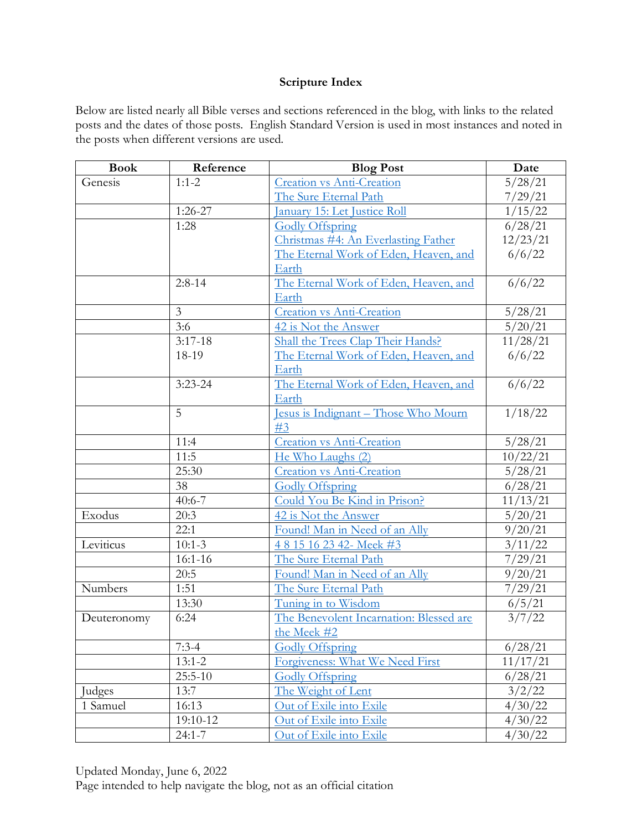## **Scripture Index**

Below are listed nearly all Bible verses and sections referenced in the blog, with links to the related posts and the dates of those posts. English Standard Version is used in most instances and noted in the posts when different versions are used.

| <b>Book</b> | Reference            | <b>Blog Post</b>                           | Date     |
|-------------|----------------------|--------------------------------------------|----------|
| Genesis     | $1:1-2$              | <b>Creation vs Anti-Creation</b>           | 5/28/21  |
|             |                      | The Sure Eternal Path                      | 7/29/21  |
|             | $1:26-27$            | <u><b>January 15: Let Justice Roll</b></u> | 1/15/22  |
|             | 1:28                 | <b>Godly Offspring</b>                     | 6/28/21  |
|             |                      | Christmas #4: An Everlasting Father        | 12/23/21 |
|             |                      | The Eternal Work of Eden, Heaven, and      | 6/6/22   |
|             |                      | Earth                                      |          |
|             | $2:8-14$             | The Eternal Work of Eden, Heaven, and      | 6/6/22   |
|             |                      | Earth                                      |          |
|             | 3                    | <b>Creation vs Anti-Creation</b>           | 5/28/21  |
|             | 3:6                  | 42 is Not the Answer                       | 5/20/21  |
|             | $\overline{3:}17-18$ | Shall the Trees Clap Their Hands?          | 11/28/21 |
|             | 18-19                | The Eternal Work of Eden, Heaven, and      | 6/6/22   |
|             |                      | Earth                                      |          |
|             | $3:23 - 24$          | The Eternal Work of Eden, Heaven, and      | 6/6/22   |
|             |                      | Earth                                      |          |
|             | 5                    | Jesus is Indignant - Those Who Mourn       | 1/18/22  |
|             |                      | #3                                         |          |
|             | 11:4                 | Creation vs Anti-Creation                  | 5/28/21  |
|             | 11:5                 | He Who Laughs (2)                          | 10/22/21 |
|             | 25:30                | <b>Creation vs Anti-Creation</b>           | 5/28/21  |
|             | 38                   | <b>Godly Offspring</b>                     | 6/28/21  |
|             | $40:6 - 7$           | Could You Be Kind in Prison?               | 11/13/21 |
| Exodus      | 20:3                 | 42 is Not the Answer                       | 5/20/21  |
|             | 22:1                 | Found! Man in Need of an Ally              | 9/20/21  |
| Leviticus   | $10:1-3$             | 4815162342-Meek#3                          | 3/11/22  |
|             | $16:1 - 16$          | The Sure Eternal Path                      | 7/29/21  |
|             | 20:5                 | Found! Man in Need of an Ally              | 9/20/21  |
| Numbers     | 1:51                 | The Sure Eternal Path                      | 7/29/21  |
|             | 13:30                | Tuning in to Wisdom                        | 6/5/21   |
| Deuteronomy | 6:24                 | The Benevolent Incarnation: Blessed are    | 3/7/22   |
|             |                      | the Meek #2                                |          |
|             | $7:3-4$              | <b>Godly Offspring</b>                     | 6/28/21  |
|             | $13:1-2$             | Forgiveness: What We Need First            | 11/17/21 |
|             | $25:5 - 10$          | <b>Godly Offspring</b>                     | 6/28/21  |
| Judges      | 13:7                 | The Weight of Lent                         | 3/2/22   |
| 1 Samuel    | 16:13                | Out of Exile into Exile                    | 4/30/22  |
|             | 19:10-12             | Out of Exile into Exile                    | 4/30/22  |
|             | $24:1 - 7$           | Out of Exile into Exile                    | 4/30/22  |

Updated Monday, June 6, 2022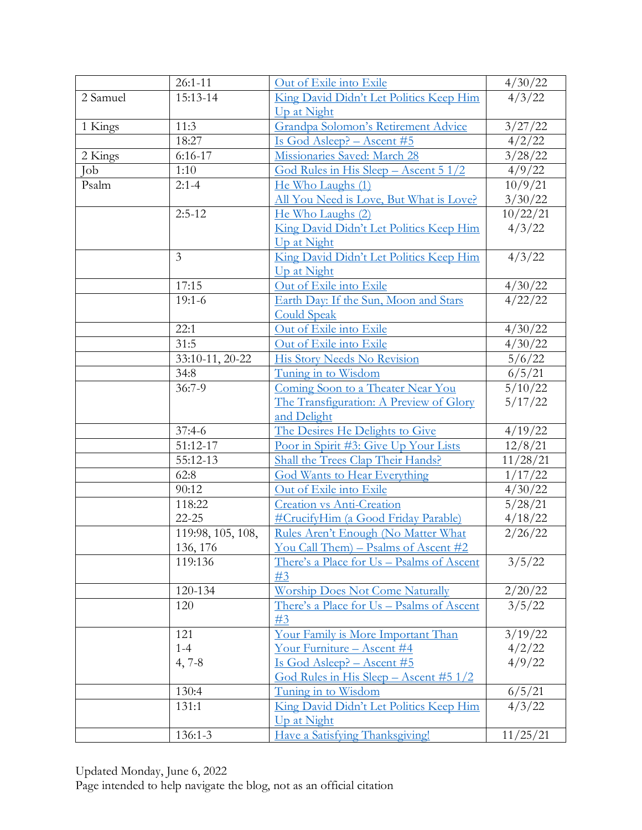|          | $26:1 - 11$       | Out of Exile into Exile                   | 4/30/22           |
|----------|-------------------|-------------------------------------------|-------------------|
| 2 Samuel | 15:13-14          | King David Didn't Let Politics Keep Him   | $\frac{4}{3}/22$  |
|          |                   | Up at Night                               |                   |
| 1 Kings  | 11:3              | Grandpa Solomon's Retirement Advice       | 3/27/22           |
|          | 18:27             | Is God Asleep? - Ascent #5                | $\frac{4}{2}{22}$ |
| 2 Kings  | $6:16-17$         | Missionaries Saved: March 28              | 3/28/22           |
| Job      | 1:10              | God Rules in His Sleep - Ascent 5 1/2     | 4/9/22            |
| Psalm    | $2:1-4$           | He Who Laughs (1)                         | 10/9/21           |
|          |                   | All You Need is Love, But What is Love?   | 3/30/22           |
|          | $2:5-12$          | He Who Laughs (2)                         | 10/22/21          |
|          |                   | King David Didn't Let Politics Keep Him   | 4/3/22            |
|          |                   | Up at Night                               |                   |
|          | $\overline{3}$    | King David Didn't Let Politics Keep Him   | 4/3/22            |
|          |                   | Up at Night                               |                   |
|          | 17:15             | Out of Exile into Exile                   | 4/30/22           |
|          | $19:1-6$          | Earth Day: If the Sun, Moon and Stars     | 4/22/22           |
|          |                   | <b>Could Speak</b>                        |                   |
|          | 22:1              | Out of Exile into Exile                   | 4/30/22           |
|          | 31:5              | Out of Exile into Exile                   | 4/30/22           |
|          | 33:10-11, 20-22   | His Story Needs No Revision               | 5/6/22            |
|          | 34:8              | Tuning in to Wisdom                       | 6/5/21            |
|          | $36:7-9$          | Coming Soon to a Theater Near You         | 5/10/22           |
|          |                   | The Transfiguration: A Preview of Glory   | 5/17/22           |
|          |                   | and Delight                               |                   |
|          | $37:4-6$          | The Desires He Delights to Give           | 4/19/22           |
|          | 51:12-17          | Poor in Spirit #3: Give Up Your Lists     | 12/8/21           |
|          | 55:12-13          | Shall the Trees Clap Their Hands?         | 11/28/21          |
|          | 62:8              | <b>God Wants to Hear Everything</b>       | 1/17/22           |
|          | 90:12             | Out of Exile into Exile                   | 4/30/22           |
|          | 118:22            | <b>Creation vs Anti-Creation</b>          | 5/28/21           |
|          | $22 - 25$         | #CrucifyHim (a Good Friday Parable)       | 4/18/22           |
|          | 119:98, 105, 108, | Rules Aren't Enough (No Matter What       | 2/26/22           |
|          | 136, 176          | You Call Them) - Psalms of Ascent #2      |                   |
|          | 119:136           | There's a Place for Us - Psalms of Ascent | 3/5/22            |
|          |                   | #3                                        |                   |
|          | 120-134           | <b>Worship Does Not Come Naturally</b>    | 2/20/22           |
|          | 120               | There's a Place for Us – Psalms of Ascent | 3/5/22            |
|          |                   | #3                                        |                   |
|          | 121               | Your Family is More Important Than        | 3/19/22           |
|          | $1 - 4$           | Your Furniture - Ascent #4                | 4/2/22            |
|          | $4, 7-8$          | <u>Is God Asleep? – Ascent #5</u>         | 4/9/22            |
|          |                   | God Rules in His Sleep $-$ Ascent #5 1/2  |                   |
|          | 130:4             | Tuning in to Wisdom                       | 6/5/21            |
|          | 131:1             | King David Didn't Let Politics Keep Him   | 4/3/22            |
|          |                   | Up at Night                               |                   |
|          | 136:1-3           | Have a Satisfying Thanksgiving!           | 11/25/21          |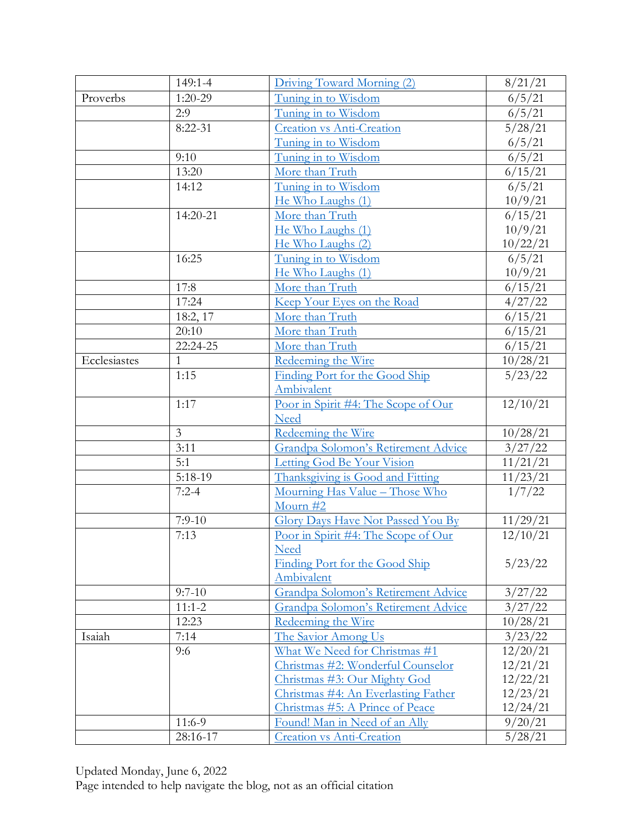|              | 149:1-4        | Driving Toward Morning (2)               | 8/21/21           |
|--------------|----------------|------------------------------------------|-------------------|
| Proverbs     | $1:20-29$      | Tuning in to Wisdom                      | 6/5/21            |
|              | 2:9            | Tuning in to Wisdom                      | 6/5/21            |
|              | $8:22-31$      | <b>Creation vs Anti-Creation</b>         | 5/28/21           |
|              |                | Tuning in to Wisdom                      | 6/5/21            |
|              | 9:10           | Tuning in to Wisdom                      | 6/5/21            |
|              | 13:20          | More than Truth                          | 6/15/21           |
|              | 14:12          | Tuning in to Wisdom                      | $\frac{6}{5}{21}$ |
|              |                | He Who Laughs (1)                        | 10/9/21           |
|              | 14:20-21       | More than Truth                          | 6/15/21           |
|              |                | He Who Laughs (1)                        | 10/9/21           |
|              |                | He Who Laughs (2)                        | 10/22/21          |
|              | 16:25          | Tuning in to Wisdom                      | 6/5/21            |
|              |                | He Who Laughs (1)                        | 10/9/21           |
|              | 17:8           | More than Truth                          | 6/15/21           |
|              | 17:24          | Keep Your Eyes on the Road               | 4/27/22           |
|              | 18:2, 17       | More than Truth                          | 6/15/21           |
|              | 20:10          | More than Truth                          | 6/15/21           |
|              | 22:24-25       | More than Truth                          | 6/15/21           |
| Ecclesiastes | 1              | Redeeming the Wire                       | 10/28/21          |
|              | 1:15           | Finding Port for the Good Ship           | 5/23/22           |
|              |                | Ambivalent                               |                   |
|              | 1:17           | Poor in Spirit #4: The Scope of Our      | 12/10/21          |
|              |                | <b>Need</b>                              |                   |
|              | $\overline{3}$ | Redeeming the Wire                       | 10/28/21          |
|              | 3:11           | Grandpa Solomon's Retirement Advice      | 3/27/22           |
|              | 5:1            | Letting God Be Your Vision               | 11/21/21          |
|              | $5:18-19$      | Thanksgiving is Good and Fitting         | 11/23/21          |
|              | $7:2-4$        | Mourning Has Value - Those Who           | 1/7/22            |
|              |                | Mourn #2                                 |                   |
|              | $7:9-10$       | <b>Glory Days Have Not Passed You By</b> | 11/29/21          |
|              | 7:13           | Poor in Spirit #4: The Scope of Our      | 12/10/21          |
|              |                | <b>Need</b>                              |                   |
|              |                | Finding Port for the Good Ship           | 5/23/22           |
|              |                | Ambivalent                               |                   |
|              | $9:7-10$       | Grandpa Solomon's Retirement Advice      | 3/27/22           |
|              | $11:1 - 2$     | Grandpa Solomon's Retirement Advice      | 3/27/22           |
|              | 12:23          | Redeeming the Wire                       | 10/28/21          |
| Isaiah       | 7:14           | The Savior Among Us                      | 3/23/22           |
|              | 9:6            | What We Need for Christmas #1            | 12/20/21          |
|              |                | Christmas #2: Wonderful Counselor        | 12/21/21          |
|              |                | Christmas #3: Our Mighty God             | 12/22/21          |
|              |                | Christmas #4: An Everlasting Father      | 12/23/21          |
|              |                | Christmas #5: A Prince of Peace          | 12/24/21          |
|              | 11:6-9         | Found! Man in Need of an Ally            | 9/20/21           |
|              | 28:16-17       | Creation vs Anti-Creation                | 5/28/21           |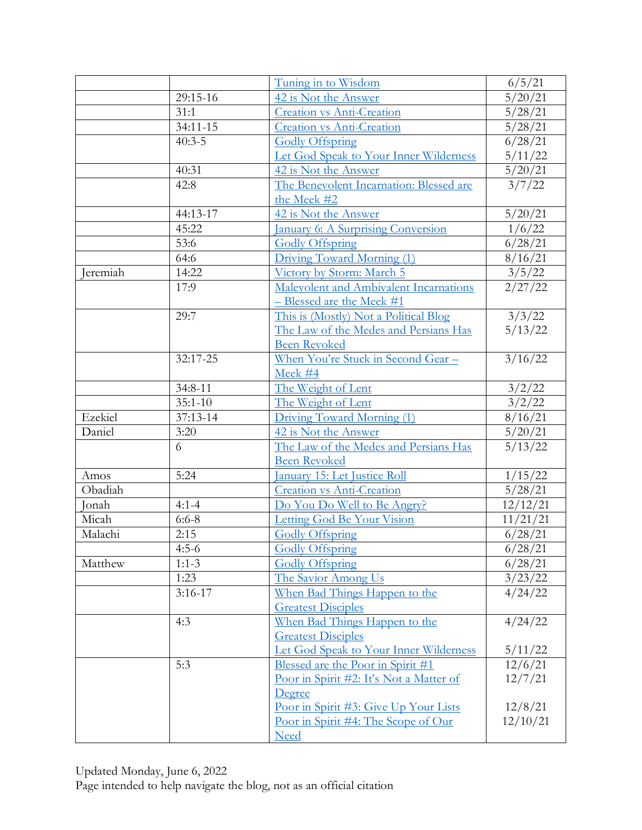|          |             | Tuning in to Wisdom                                          | 6/5/21                    |
|----------|-------------|--------------------------------------------------------------|---------------------------|
|          | 29:15-16    | 42 is Not the Answer                                         | 5/20/21                   |
|          | 31:1        | <b>Creation vs Anti-Creation</b>                             | 5/28/21                   |
|          | 34:11-15    | <b>Creation vs Anti-Creation</b>                             | 5/28/21                   |
|          | $40:3-5$    | <b>Godly Offspring</b>                                       | 6/28/21                   |
|          |             | Let God Speak to Your Inner Wilderness                       | 5/11/22                   |
|          | 40:31       | 42 is Not the Answer                                         | 5/20/21                   |
|          | 42:8        | The Benevolent Incarnation: Blessed are                      | $\frac{1}{3}/7/22$        |
|          |             | the Meek #2                                                  |                           |
|          | 44:13-17    | 42 is Not the Answer                                         | 5/20/21                   |
|          | 45:22       | <b>January 6: A Surprising Conversion</b>                    | 1/6/22                    |
|          | 53:6        | <b>Godly Offspring</b>                                       | 6/28/21                   |
|          | 64:6        | Driving Toward Morning (1)                                   | 8/16/21                   |
| Jeremiah | 14:22       | Victory by Storm: March 5                                    | 3/5/22                    |
|          | 17:9        | Malevolent and Ambivalent Incarnations                       | 2/27/22                   |
|          |             | <u>– Blessed are the Meek #1</u>                             |                           |
|          | 29:7        | This is (Mostly) Not a Political Blog                        | 3/3/22                    |
|          |             | The Law of the Medes and Persians Has                        | 5/13/22                   |
|          |             | <b>Been Revoked</b>                                          |                           |
|          | 32:17-25    | <u>When You're Stuck in Second Gear -</u>                    | 3/16/22                   |
|          |             | Meek #4                                                      |                           |
|          | 34:8-11     | The Weight of Lent                                           | 3/2/22                    |
|          | $35:1 - 10$ | The Weight of Lent                                           | 3/2/22                    |
| Ezekiel  | 37:13-14    | Driving Toward Morning (1)                                   | 8/16/21                   |
| Daniel   | 3:20        | 42 is Not the Answer                                         | 5/20/21                   |
|          | 6           | The Law of the Medes and Persians Has<br><b>Been Revoked</b> | 5/13/22                   |
| Amos     | 5:24        | <u> January 15: Let Justice Roll</u>                         | 1/15/22                   |
| Obadiah  |             | Creation vs Anti-Creation                                    | 5/28/21                   |
| Jonah    | $4:1 - 4$   | Do You Do Well to Be Angry?                                  | 12/12/21                  |
| Micah    | $6:6 - 8$   | Letting God Be Your Vision                                   | $11/21/\overline{21}$     |
| Malachi  | 2:15        | <b>Godly Offspring</b>                                       | 6/28/21                   |
|          | $4:5-6$     | <b>Godly Offspring</b>                                       | 6/28/21                   |
| Matthew  | $1:1-3$     | <b>Godly Offspring</b>                                       | 6/28/21                   |
|          | 1:23        | The Savior Among Us                                          | 3/23/22                   |
|          | $3:16-17$   | When Bad Things Happen to the                                | 4/24/22                   |
|          |             | <b>Greatest Disciples</b>                                    |                           |
|          | 4:3         | When Bad Things Happen to the                                | 4/24/22                   |
|          |             | <b>Greatest Disciples</b>                                    |                           |
|          |             | Let God Speak to Your Inner Wilderness                       |                           |
|          | 5:3         | Blessed are the Poor in Spirit #1                            | $\frac{5/11/22}{12/6/21}$ |
|          |             | Poor in Spirit #2: It's Not a Matter of                      | 12/7/21                   |
|          |             | Degree                                                       |                           |
|          |             | Poor in Spirit #3: Give Up Your Lists                        | 12/8/21                   |
|          |             | Poor in Spirit #4: The Scope of Our                          | 12/10/21                  |
|          |             | <b>Need</b>                                                  |                           |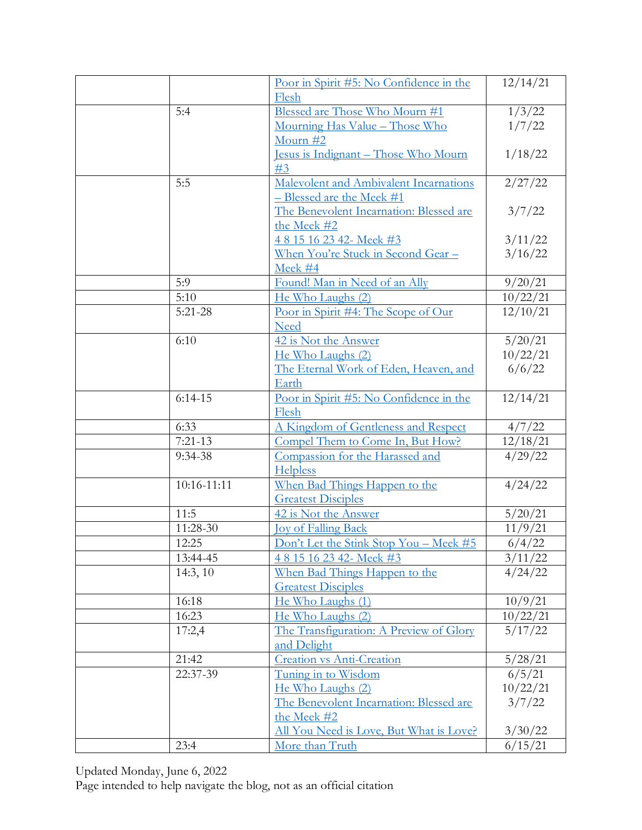|             | Poor in Spirit #5: No Confidence in the                             | 12/14/21          |
|-------------|---------------------------------------------------------------------|-------------------|
|             | Flesh                                                               |                   |
| 5:4         | Blessed are Those Who Mourn #1                                      | 1/3/22<br>1/7/22  |
|             | Mourning Has Value - Those Who                                      |                   |
|             | Mourn $#2$                                                          |                   |
|             | <u> Jesus is Indignant – Those Who Mourn</u><br>#3                  | 1/18/22           |
| 5:5         |                                                                     | 2/27/22           |
|             | Malevolent and Ambivalent Incarnations<br>- Blessed are the Meek #1 |                   |
|             | The Benevolent Incarnation: Blessed are                             | 3/7/22            |
|             | the Meek #2                                                         |                   |
|             | 4815162342-Meek#3                                                   | 3/11/22           |
|             | <u>When You're Stuck in Second Gear-</u>                            | 3/16/22           |
|             | Meek #4                                                             |                   |
| 5:9         | Found! Man in Need of an Ally                                       | 9/20/21           |
| 5:10        | He Who Laughs (2)                                                   | 10/22/21          |
| $5:21-28$   | Poor in Spirit #4: The Scope of Our                                 | 12/10/21          |
|             | <b>Need</b>                                                         |                   |
| 6:10        | 42 is Not the Answer                                                | 5/20/21           |
|             | He Who Laughs (2)                                                   | 10/22/21          |
|             | The Eternal Work of Eden, Heaven, and                               | 6/6/22            |
|             | Earth                                                               |                   |
| $6:14-15$   | Poor in Spirit #5: No Confidence in the                             | 12/14/21          |
|             | Flesh                                                               |                   |
| 6:33        | A Kingdom of Gentleness and Respect                                 | 4/7/22            |
| $7:21-13$   | Compel Them to Come In, But How?                                    | 12/18/21          |
| 9:34-38     | Compassion for the Harassed and                                     | $\frac{4}{29/22}$ |
|             | <b>Helpless</b>                                                     |                   |
| 10:16-11:11 | When Bad Things Happen to the                                       | 4/24/22           |
|             | <b>Greatest Disciples</b>                                           |                   |
| 11:5        | 42 is Not the Answer                                                | 5/20/21           |
| 11:28-30    | <b>Joy of Falling Back</b>                                          | 11/9/21           |
| 12:25       | Don't Let the Stink Stop You - Meek #5                              | 6/4/22            |
| 13:44-45    | 4815162342-Meek#3                                                   | 3/11/22           |
| 14:3, 10    | When Bad Things Happen to the                                       | 4/24/22           |
|             | <b>Greatest Disciples</b>                                           |                   |
| 16:18       | He Who Laughs (1)                                                   | 10/9/21           |
| 16:23       | He Who Laughs (2)                                                   | 10/22/21          |
| 17:2,4      | The Transfiguration: A Preview of Glory                             | 5/17/22           |
|             | and Delight                                                         |                   |
| 21:42       | Creation vs Anti-Creation                                           | 5/28/21           |
| 22:37-39    | Tuning in to Wisdom                                                 | 6/5/21            |
|             | He Who Laughs (2)                                                   | 10/22/21          |
|             | The Benevolent Incarnation: Blessed are                             | 3/7/22            |
|             | the Meek #2                                                         |                   |
|             | All You Need is Love, But What is Love?                             | 3/30/22           |
| 23:4        | More than Truth                                                     | 6/15/21           |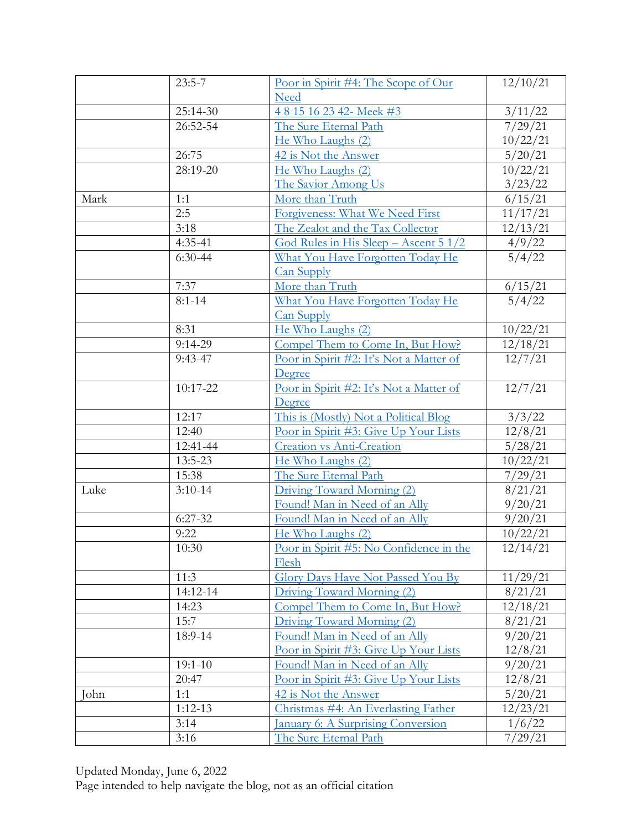|      | $\overline{2}3:5-7$ | Poor in Spirit #4: The Scope of Our          | 12/10/21            |
|------|---------------------|----------------------------------------------|---------------------|
|      |                     | <b>Need</b>                                  |                     |
|      | 25:14-30            | 4815162342-Meek#3                            | 3/11/22             |
|      | 26:52-54            | The Sure Eternal Path                        | $\frac{1}{7}/29/21$ |
|      |                     | He Who Laughs (2)                            | 10/22/21            |
|      | 26:75               | 42 is Not the Answer                         | 5/20/21             |
|      | 28:19-20            | He Who Laughs (2)                            | 10/22/21            |
|      |                     | The Savior Among Us                          | 3/23/22             |
| Mark | 1:1                 | More than Truth                              | 6/15/21             |
|      | 2:5                 | Forgiveness: What We Need First              | 11/17/21            |
|      | 3:18                | The Zealot and the Tax Collector             | 12/13/21            |
|      | $4:35-41$           | <u>God Rules in His Sleep – Ascent 5 1/2</u> | 4/9/22              |
|      | $6:30-44$           | What You Have Forgotten Today He             | 5/4/22              |
|      |                     | <b>Can Supply</b>                            |                     |
|      | 7:37                | More than Truth                              | 6/15/21             |
|      | $8:1 - 14$          | What You Have Forgotten Today He             | 5/4/22              |
|      |                     | <b>Can Supply</b>                            |                     |
|      | 8:31                | He Who Laughs (2)                            | 10/22/21            |
|      | $9:14-29$           | Compel Them to Come In, But How?             | 12/18/21            |
|      | $9:43-47$           | Poor in Spirit #2: It's Not a Matter of      | 12/7/21             |
|      |                     | Degree                                       |                     |
|      | 10:17-22            | Poor in Spirit #2: It's Not a Matter of      | 12/7/21             |
|      |                     | Degree                                       |                     |
|      | 12:17               | This is (Mostly) Not a Political Blog        | 3/3/22              |
|      | 12:40               | Poor in Spirit #3: Give Up Your Lists        | 12/8/21             |
|      | 12:41-44            | <b>Creation vs Anti-Creation</b>             | 5/28/21             |
|      | 13:5-23             | He Who Laughs (2)                            | 10/22/21            |
|      | 15:38               | The Sure Eternal Path                        | 7/29/21             |
| Luke | $3:10-14$           | Driving Toward Morning (2)                   | 8/21/21             |
|      |                     | Found! Man in Need of an Ally                | 9/20/21             |
|      | $6:27-32$           | Found! Man in Need of an Ally                | 9/20/21             |
|      | 9:22                | He Who Laughs (2)                            | 10/22/21            |
|      | 10:30               | Poor in Spirit #5: No Confidence in the      | 12/14/21            |
|      |                     | Flesh                                        |                     |
|      | 11:3                | <b>Glory Days Have Not Passed You By</b>     | 11/29/21            |
|      | 14:12-14            | Driving Toward Morning (2)                   | 8/21/21             |
|      | 14:23               | Compel Them to Come In, But How?             | 12/18/21            |
|      | 15:7                | Driving Toward Morning (2)                   | 8/21/21             |
|      | 18:9-14             | Found! Man in Need of an Ally                | 9/20/21             |
|      |                     | Poor in Spirit #3: Give Up Your Lists        | 12/8/21             |
|      | $19:1 - 10$         | Found! Man in Need of an Ally                | 9/20/21             |
|      | 20:47               | Poor in Spirit #3: Give Up Your Lists        | 12/8/21             |
| John | 1:1                 | 42 is Not the Answer                         | 5/20/21             |
|      | $1:12-13$           | Christmas #4: An Everlasting Father          | 12/23/21            |
|      | 3:14                | <b>January 6: A Surprising Conversion</b>    | 1/6/22              |
|      | 3:16                | The Sure Eternal Path                        | 7/29/21             |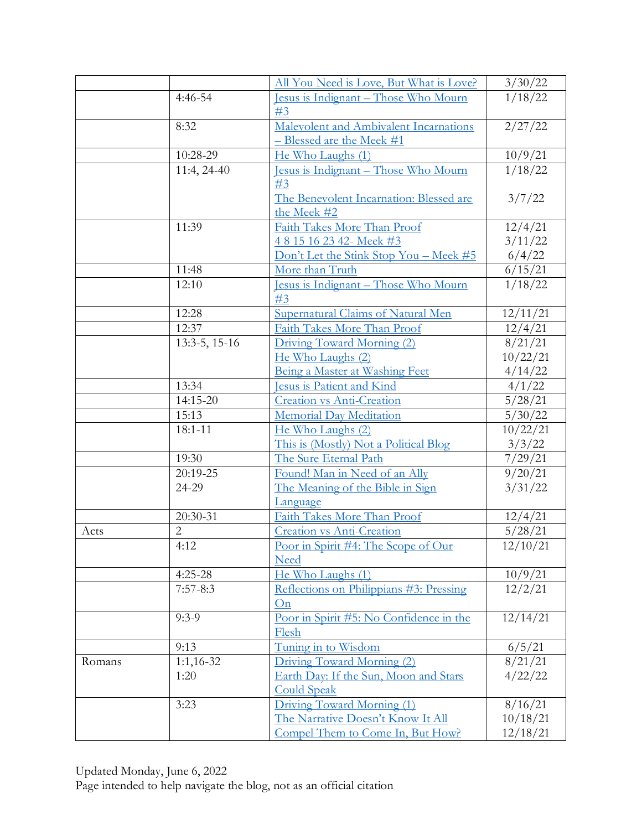|        |                | All You Need is Love, But What is Love?                | 3/30/22                   |
|--------|----------------|--------------------------------------------------------|---------------------------|
|        | $4:46-54$      | <u> Jesus is Indignant – Those Who Mourn</u>           | 1/18/22                   |
|        |                | #3                                                     |                           |
|        | 8:32           | Malevolent and Ambivalent Incarnations                 | 2/27/22                   |
|        |                | $-$ Blessed are the Meek #1                            |                           |
|        | 10:28-29       | He Who Laughs (1)                                      | 10/9/21                   |
|        | 11:4, 24-40    | <u> Jesus is Indignant – Those Who Mourn</u><br>#3     | 1/18/22                   |
|        |                | The Benevolent Incarnation: Blessed are<br>the Meek #2 | 3/7/22                    |
|        | 11:39          | Faith Takes More Than Proof                            | 12/4/21                   |
|        |                | 4815162342-Meek#3                                      | 3/11/22                   |
|        |                | Don't Let the Stink Stop You - Meek #5                 |                           |
|        | 11:48          | More than Truth                                        | $\frac{6/4/22}{6/15/21}$  |
|        | 12:10          | Jesus is Indignant - Those Who Mourn                   | 1/18/22                   |
|        |                | #3                                                     |                           |
|        | 12:28          | Supernatural Claims of Natural Men                     | 12/11/21                  |
|        | 12:37          | Faith Takes More Than Proof                            | 12/4/21                   |
|        | 13:3-5, 15-16  | Driving Toward Morning (2)                             | 8/21/21                   |
|        |                | He Who Laughs (2)                                      | 10/22/21                  |
|        |                | Being a Master at Washing Feet                         | 4/14/22                   |
|        | 13:34          | <b>Jesus is Patient and Kind</b>                       | 4/1/22                    |
|        | 14:15-20       | <b>Creation vs Anti-Creation</b>                       | 5/28/21                   |
|        | 15:13          | <b>Memorial Day Meditation</b>                         | 5/30/22                   |
|        | $18:1 - 11$    | He Who Laughs (2)                                      | 10/22/21                  |
|        |                | This is (Mostly) Not a Political Blog                  | 3/3/22                    |
|        | 19:30          | The Sure Eternal Path                                  | 7/29/21                   |
|        | 20:19-25       | Found! Man in Need of an Ally                          | 9/20/21                   |
|        | 24-29          | The Meaning of the Bible in Sign                       | 3/31/22                   |
|        |                | Language                                               |                           |
|        | 20:30-31       | Faith Takes More Than Proof                            | 12/4/21                   |
| Acts   | $\overline{2}$ | <b>Creation vs Anti-Creation</b>                       | 5/28/21                   |
|        | 4:12           | Poor in Spirit #4: The Scope of Our<br><b>Need</b>     | 12/10/21                  |
|        | $4:25-28$      | He Who Laughs (1)                                      |                           |
|        | $7:57-8:3$     | Reflections on Philippians #3: Pressing<br>On          | $\frac{10/9/21}{12/2/21}$ |
|        | $9:3-9$        | Poor in Spirit #5: No Confidence in the<br>Flesh       | 12/14/21                  |
|        | 9:13           | Tuning in to Wisdom                                    | 6/5/21                    |
| Romans | $1:1,16-32$    | Driving Toward Morning (2)                             | 8/21/21                   |
|        | 1:20           | Earth Day: If the Sun, Moon and Stars                  | 4/22/22                   |
|        |                | <b>Could Speak</b>                                     |                           |
|        | 3:23           | Driving Toward Morning (1)                             | 8/16/21                   |
|        |                | The Narrative Doesn't Know It All                      | 10/18/21                  |
|        |                | Compel Them to Come In, But How?                       | 12/18/21                  |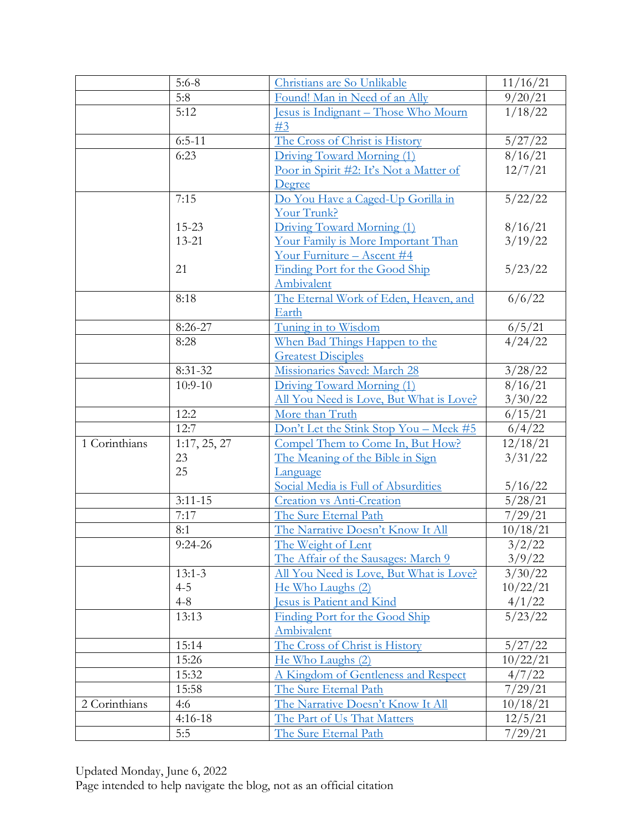|               | $5:6-8$      | Christians are So Unlikable                  | 11/16/21          |
|---------------|--------------|----------------------------------------------|-------------------|
|               | 5:8          | Found! Man in Need of an Ally                | 9/20/21           |
|               | 5:12         | Jesus is Indignant – Those Who Mourn<br>#3   | 1/18/22           |
|               | $6:5-11$     | The Cross of Christ is History               | 5/27/22           |
|               | 6:23         | Driving Toward Morning (1)                   | 8/16/21           |
|               |              | Poor in Spirit #2: It's Not a Matter of      | 12/7/21           |
|               |              | Degree                                       |                   |
|               | 7:15         | Do You Have a Caged-Up Gorilla in            | 5/22/22           |
|               |              | Your Trunk?                                  |                   |
|               | 15-23        | Driving Toward Morning (1)                   | 8/16/21           |
|               | 13-21        | Your Family is More Important Than           | 3/19/22           |
|               |              | <u>Your Furniture - Ascent #4</u>            |                   |
|               | 21           | Finding Port for the Good Ship               | 5/23/22           |
|               |              | Ambivalent                                   |                   |
|               | 8:18         | The Eternal Work of Eden, Heaven, and        | 6/6/22            |
|               |              | Earth                                        |                   |
|               | 8:26-27      | Tuning in to Wisdom                          | 6/5/21            |
|               | 8:28         | When Bad Things Happen to the                | 4/24/22           |
|               |              | <b>Greatest Disciples</b>                    |                   |
|               | $8:31-32$    | Missionaries Saved: March 28                 | 3/28/22           |
|               | $10:9-10$    | Driving Toward Morning (1)                   | 8/16/21           |
|               |              | All You Need is Love, But What is Love?      | 3/30/22           |
|               | 12:2         | More than Truth                              | 6/15/21           |
|               | 12:7         | Don't Let the Stink Stop You - Meek #5       | 6/4/22            |
| 1 Corinthians | 1:17, 25, 27 | Compel Them to Come In, But How?             | 12/18/21          |
|               | 23           | The Meaning of the Bible in Sign             | 3/31/22           |
|               | 25           | Language                                     |                   |
|               |              | Social Media is Full of Absurdities          | 5/16/22           |
|               | $3:11 - 15$  | <b>Creation vs Anti-Creation</b>             | 5/28/21           |
|               | 7:17         | The Sure Eternal Path                        | 7/29/21           |
|               | 8:1          | The Narrative Doesn't Know It All            | 10/18/21          |
|               | $9:24-26$    | The Weight of Lent                           | 3/2/22            |
|               |              | The Affair of the Sausages: March 9          | 3/9/22            |
|               | $13:1-3$     | All You Need is Love, But What is Love?      | $\frac{3}{30/22}$ |
|               | $4 - 5$      | He Who Laughs (2)                            | 10/22/21          |
|               | $4 - 8$      | Jesus is Patient and Kind                    | 4/1/22            |
|               | 13:13        | Finding Port for the Good Ship<br>Ambivalent | 5/23/22           |
|               | 15:14        | The Cross of Christ is History               | 5/27/22           |
|               | 15:26        | He Who Laughs (2)                            | 10/22/21          |
|               | 15:32        | A Kingdom of Gentleness and Respect          | 4/7/22            |
|               | 15:58        | The Sure Eternal Path                        | 7/29/21           |
| 2 Corinthians | 4:6          | The Narrative Doesn't Know It All            | 10/18/21          |
|               | $4:16-18$    | The Part of Us That Matters                  | 12/5/21           |
|               | 5:5          | The Sure Eternal Path                        | 7/29/21           |

Updated Monday, June 6, 2022 Page intended to help navigate the blog, not as an official citation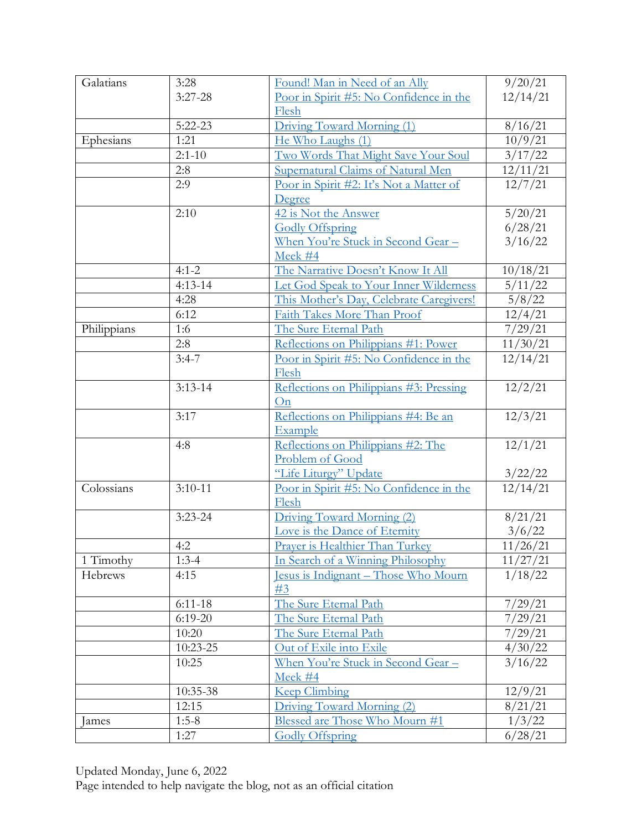| Galatians   | 3:28        | Found! Man in Need of an Ally            | 9/20/21                    |
|-------------|-------------|------------------------------------------|----------------------------|
|             | $3:27-28$   | Poor in Spirit #5: No Confidence in the  | 12/14/21                   |
|             |             | Flesh                                    |                            |
|             | $5:22 - 23$ | Driving Toward Morning (1)               | 8/16/21                    |
| Ephesians   | 1:21        | He Who Laughs (1)                        | 10/9/21                    |
|             | $2:1 - 10$  | Two Words That Might Save Your Soul      | 3/17/22                    |
|             | 2:8         | Supernatural Claims of Natural Men       | 12/11/21                   |
|             | 2:9         | Poor in Spirit #2: It's Not a Matter of  | 12/7/21                    |
|             |             | Degree                                   |                            |
|             | 2:10        | 42 is Not the Answer                     | 5/20/21                    |
|             |             | <b>Godly Offspring</b>                   | 6/28/21                    |
|             |             | <u>When You're Stuck in Second Gear-</u> | 3/16/22                    |
|             |             | Meek #4                                  |                            |
|             | $4:1 - 2$   | The Narrative Doesn't Know It All        | 10/18/21                   |
|             | $4:13-14$   | Let God Speak to Your Inner Wilderness   | 5/11/22                    |
|             | 4:28        | This Mother's Day, Celebrate Caregivers! | 5/8/22                     |
|             | 6:12        | Faith Takes More Than Proof              | 12/4/21                    |
| Philippians | 1:6         | The Sure Eternal Path                    | 7/29/21                    |
|             | 2:8         | Reflections on Philippians #1: Power     | 11/30/21                   |
|             | $3:4-7$     | Poor in Spirit #5: No Confidence in the  | 12/14/21                   |
|             |             | Flesh                                    |                            |
|             | $3:13-14$   | Reflections on Philippians #3: Pressing  | 12/2/21                    |
|             |             | On                                       |                            |
|             | 3:17        | Reflections on Philippians #4: Be an     | 12/3/21                    |
|             |             | Example                                  |                            |
|             | 4:8         | Reflections on Philippians #2: The       | 12/1/21                    |
|             |             | Problem of Good                          |                            |
|             |             | "Life Liturgy" Update                    |                            |
| Colossians  | $3:10-11$   | Poor in Spirit #5: No Confidence in the  | $\frac{3/22/22}{12/14/21}$ |
|             |             | Flesh                                    |                            |
|             | $3:23 - 24$ | Driving Toward Morning (2)               | 8/21/21                    |
|             |             | Love is the Dance of Eternity            | 3/6/22                     |
|             | 4:2         | Prayer is Healthier Than Turkey          | 11/26/21                   |
| 1 Timothy   | $1:3-4$     | In Search of a Winning Philosophy        | 11/27/21                   |
| Hebrews     | 4:15        | Jesus is Indignant – Those Who Mourn     | 1/18/22                    |
|             |             | #3                                       |                            |
|             | $6:11-18$   | The Sure Eternal Path                    | 7/29/21                    |
|             | $6:19-20$   | The Sure Eternal Path                    | 7/29/21                    |
|             | 10:20       | The Sure Eternal Path                    | 7/29/21                    |
|             | 10:23-25    | Out of Exile into Exile                  | 4/30/22                    |
|             | 10:25       | When You're Stuck in Second Gear -       | 3/16/22                    |
|             |             | Meek #4                                  |                            |
|             | 10:35-38    | <b>Keep Climbing</b>                     | 12/9/21                    |
|             | 12:15       | Driving Toward Morning (2)               | 8/21/21                    |
| James       | $1:5-8$     | Blessed are Those Who Mourn #1           | 1/3/22                     |
|             | 1:27        | Godly Offspring                          | 6/28/21                    |